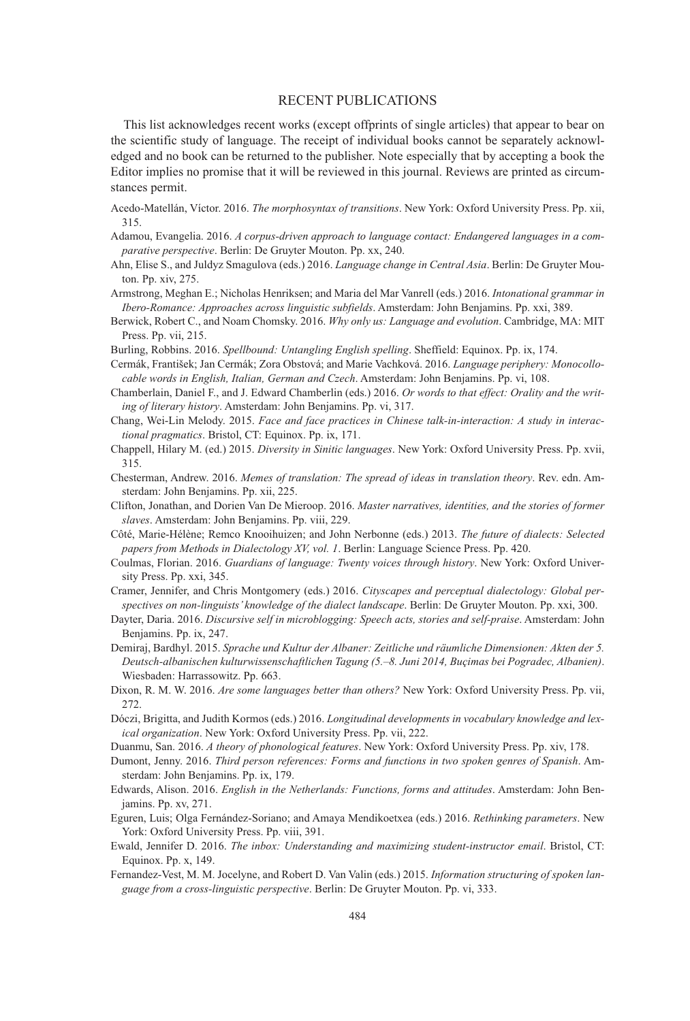## RECENT PUBLICATIONS

This list acknowledges recent works (except offprints of single articles) that appear to bear on the scientific study of language. The receipt of individual books cannot be separately acknowledged and no book can be returned to the publisher. Note especially that by accepting a book the Editor implies no promise that it will be reviewed in this journal. Reviews are printed as circumstances permit.

- Acedo-Matellán, Víctor. 2016. *The morphosyntax of transitions*. New York: Oxford University Press. Pp. xii, 315.
- Adamou, Evangelia. 2016. *A corpus-driven approach to language contact: Endangered languages in a comparative perspective*. Berlin: De Gruyter Mouton. Pp. xx, 240.
- Ahn, Elise S., and Juldyz Smagulova (eds.) 2016. *Language change in Central Asia*. Berlin: De Gruyter Mouton. Pp. xiv, 275.
- Armstrong, Meghan E.; Nicholas Henriksen; and Maria del Mar Vanrell (eds.) 2016. *Intonational grammar in Ibero-Romance: Approaches across linguistic subfields*. Amsterdam: John Benjamins. Pp. xxi, 389.
- Berwick, Robert C., and Noam Chomsky. 2016. *Why only us: Language and evolution*. Cambridge, MA: MIT Press. Pp. vii, 215.
- Burling, Robbins. 2016. *Spellbound: Untangling English spelling*. Sheffield: Equinox. Pp. ix, 174.
- Cermák, František; Jan Cermák; Zora Obstová; and Marie Vachková. 2016. *Language periphery: Monocollocable words in English, Italian, German and Czech*. Amsterdam: John Benjamins. Pp. vi, 108.
- Chamberlain, Daniel F., and J. Edward Chamberlin (eds.) 2016. *Or words to that effect: Orality and the writing of literary history*. Amsterdam: John Benjamins. Pp. vi, 317.
- Chang, Wei-Lin Melody. 2015. *Face and face practices in Chinese talk-in-interaction: A study in interactional pragmatics*. Bristol, CT: Equinox. Pp. ix, 171.
- Chappell, Hilary M. (ed.) 2015. *Diversity in Sinitic languages*. New York: Oxford University Press. Pp. xvii, 315.
- Chesterman, Andrew. 2016. *Memes of translation: The spread of ideas in translation theory*. Rev. edn. Amsterdam: John Benjamins. Pp. xii, 225.
- Clifton, Jonathan, and Dorien Van De Mieroop. 2016. *Master narratives, identities, and the stories of former slaves*. Amsterdam: John Benjamins. Pp. viii, 229.
- Côté, Marie-Hélène; Remco Knooihuizen; and John Nerbonne (eds.) 2013. *The future of dialects: Selected papers from Methods in Dialectology XV, vol. 1*. Berlin: Language Science Press. Pp. 420.
- Coulmas, Florian. 2016. *Guardians of language: Twenty voices through history*. New York: Oxford University Press. Pp. xxi, 345.
- Cramer, Jennifer, and Chris Montgomery (eds.) 2016. *Cityscapes and perceptual dialectology: Global perspectives on non-linguists' knowledge of the dialect landscape*. Berlin: De Gruyter Mouton. Pp. xxi, 300.
- Dayter, Daria. 2016. *Discursive self in microblogging: Speech acts, stories and self-praise*. Amsterdam: John Benjamins. Pp. ix, 247.
- Demiraj, Bardhyl. 2015. *Sprache und Kultur der Albaner: Zeitliche und räumliche Dimensionen: Akten der 5. Deutsch-albanischen kulturwissenschaftlichen Tagung (5.–8. Juni 2014, Buçimas bei Pogradec, Albanien)*. Wiesbaden: Harrassowitz. Pp. 663.
- Dixon, R. M. W. 2016. *Are some languages better than others?* New York: Oxford University Press. Pp. vii, 272.
- Dóczi, Brigitta, and Judith Kormos (eds.) 2016. *Longitudinal developments in vocabulary knowledge and lexical organization*. New York: Oxford University Press. Pp. vii, 222.
- Duanmu, San. 2016. *A theory of phonological features*. New York: Oxford University Press. Pp. xiv, 178.
- Dumont, Jenny. 2016. *Third person references: Forms and functions in two spoken genres of Spanish*. Amsterdam: John Benjamins. Pp. ix, 179.
- Edwards, Alison. 2016. *English in the Netherlands: Functions, forms and attitudes*. Amsterdam: John Benjamins. Pp. xv, 271.
- Eguren, Luis; Olga Fernández-Soriano; and Amaya Mendikoetxea (eds.) 2016. *Rethinking parameters*. New York: Oxford University Press. Pp. viii, 391.
- Ewald, Jennifer D. 2016. *The inbox: Understanding and maximizing student-instructor email*. Bristol, CT: Equinox. Pp. x, 149.
- Fernandez-Vest, M. M. Jocelyne, and Robert D. Van Valin (eds.) 2015. *Information structuring of spoken language from a cross-linguistic perspective*. Berlin: De Gruyter Mouton. Pp. vi, 333.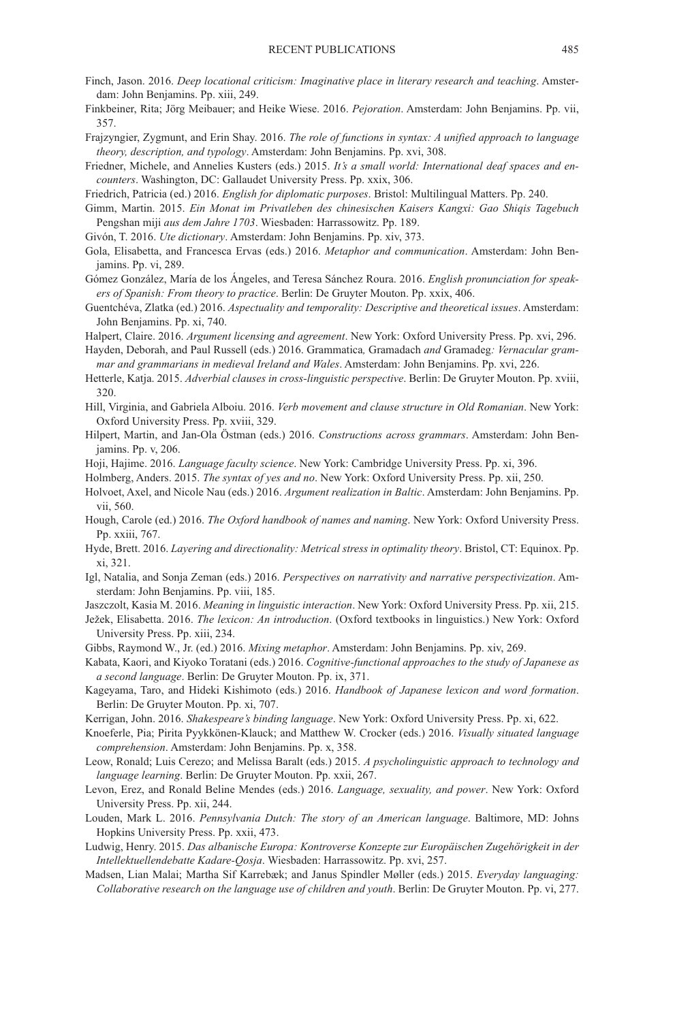- Finch, Jason. 2016. *Deep locational criticism: Imaginative place in literary research and teaching*. Amsterdam: John Benjamins. Pp. xiii, 249.
- Finkbeiner, Rita; Jörg Meibauer; and Heike Wiese. 2016. *Pejoration*. Amsterdam: John Benjamins. Pp. vii, 357.
- Frajzyngier, Zygmunt, and Erin Shay. 2016. *The role of functions in syntax: A unified approach to language theory, description, and typology*. Amsterdam: John Benjamins. Pp. xvi, 308.
- Friedner, Michele, and Annelies Kusters (eds.) 2015. *It's a small world: International deaf spaces and encounters*. Washington, DC: Gallaudet University Press. Pp. xxix, 306.

Friedrich, Patricia (ed.) 2016. *English for diplomatic purposes*. Bristol: Multilingual Matters. Pp. 240.

- Gimm, Martin. 2015. *Ein Monat im Privatleben des chinesischen Kaisers Kangxi: Gao Shiqis Tagebuch* Pengshan miji *aus dem Jahre 1703*. Wiesbaden: Harrassowitz. Pp. 189.
- Givón, T. 2016. *Ute dictionary*. Amsterdam: John Benjamins. Pp. xiv, 373.
- Gola, Elisabetta, and Francesca Ervas (eds.) 2016. *Metaphor and communication*. Amsterdam: John Benjamins. Pp. vi, 289.
- Gómez González, María de los Ángeles, and Teresa Sánchez Roura. 2016. *English pronunciation for speakers of Spanish: From theory to practice*. Berlin: De Gruyter Mouton. Pp. xxix, 406.
- Guentchéva, Zlatka (ed.) 2016. *Aspectuality and temporality: Descriptive and theoretical issues*. Amsterdam: John Benjamins. Pp. xi, 740.

Halpert, Claire. 2016. *Argument licensing and agreement*. New York: Oxford University Press. Pp. xvi, 296.

- Hayden, Deborah, and Paul Russell (eds.) 2016. Grammatica*,* Gramadach *and* Gramadeg*: Vernacular grammar and grammarians in medieval Ireland and Wales*. Amsterdam: John Benjamins. Pp. xvi, 226.
- Hetterle, Katja. 2015. *Adverbial clauses in cross-linguistic perspective*. Berlin: De Gruyter Mouton. Pp. xviii, 320.
- Hill, Virginia, and Gabriela Alboiu. 2016. *Verb movement and clause structure in Old Romanian*. New York: Oxford University Press. Pp. xviii, 329.
- Hilpert, Martin, and Jan-Ola Östman (eds.) 2016. *Constructions across grammars*. Amsterdam: John Benjamins. Pp. v, 206.
- Hoji, Hajime. 2016. *Language faculty science*. New York: Cambridge University Press. Pp. xi, 396.
- Holmberg, Anders. 2015. *The syntax of yes and no*. New York: Oxford University Press. Pp. xii, 250.
- Holvoet, Axel, and Nicole Nau (eds.) 2016. *Argument realization in Baltic*. Amsterdam: John Benjamins. Pp. vii, 560.
- Hough, Carole (ed.) 2016. *The Oxford handbook of names and naming*. New York: Oxford University Press. Pp. xxiii, 767.
- Hyde, Brett. 2016. *Layering and directionality: Metrical stress in optimality theory*. Bristol, CT: Equinox. Pp. xi, 321.
- Igl, Natalia, and Sonja Zeman (eds.) 2016. *Perspectives on narrativity and narrative perspectivization*. Amsterdam: John Benjamins. Pp. viii, 185.
- Jaszczolt, Kasia M. 2016. *Meaning in linguistic interaction*. New York: Oxford University Press. Pp. xii, 215.
- Ježek, Elisabetta. 2016. *The lexicon: An introduction*. (Oxford textbooks in linguistics.) New York: Oxford University Press. Pp. xiii, 234.
- Gibbs, Raymond W., Jr. (ed.) 2016. *Mixing metaphor*. Amsterdam: John Benjamins. Pp. xiv, 269.
- Kabata, Kaori, and Kiyoko Toratani (eds.) 2016. *Cognitive-functional approaches to the study of Japanese as a second language*. Berlin: De Gruyter Mouton. Pp. ix, 371.
- Kageyama, Taro, and Hideki Kishimoto (eds.) 2016. *Handbook of Japanese lexicon and word formation*. Berlin: De Gruyter Mouton. Pp. xi, 707.
- Kerrigan, John. 2016. *Shakespeare's binding language*. New York: Oxford University Press. Pp. xi, 622.
- Knoeferle, Pia; Pirita Pyykkönen-Klauck; and Matthew W. Crocker (eds.) 2016. *Visually situated language comprehension*. Amsterdam: John Benjamins. Pp. x, 358.
- Leow, Ronald; Luis Cerezo; and Melissa Baralt (eds.) 2015. *A psycholinguistic approach to technology and language learning*. Berlin: De Gruyter Mouton. Pp. xxii, 267.
- Levon, Erez, and Ronald Beline Mendes (eds.) 2016. *Language, sexuality, and power*. New York: Oxford University Press. Pp. xii, 244.
- Louden, Mark L. 2016. *Pennsylvania Dutch: The story of an American language*. Baltimore, MD: Johns Hopkins University Press. Pp. xxii, 473.
- Ludwig, Henry. 2015. *Das albanische Europa: Kontroverse Konzepte zur Europäischen Zugehörigkeit in der Intellektuellendebatte Kadare-Qosja*. Wiesbaden: Harrassowitz. Pp. xvi, 257.
- Madsen, Lian Malai; Martha Sif Karrebæk; and Janus Spindler Møller (eds.) 2015. *Everyday languaging: Collaborative research on the language use of children and youth*. Berlin: De Gruyter Mouton. Pp. vi, 277.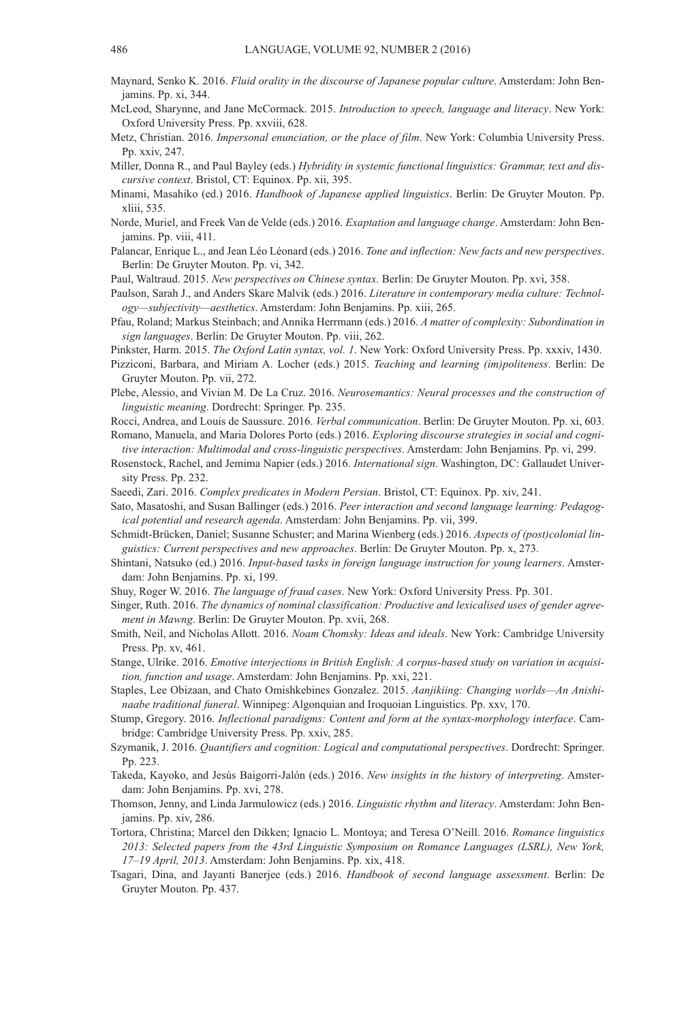- Maynard, Senko K. 2016. *Fluid orality in the discourse of Japanese popular culture*. Amsterdam: John Benjamins. Pp. xi, 344.
- McLeod, Sharynne, and Jane McCormack. 2015. *Introduction to speech, language and literacy*. New York: Oxford University Press. Pp. xxviii, 628.
- Metz, Christian. 2016. *Impersonal enunciation, or the place of film*. New York: Columbia University Press. Pp. xxiv, 247.
- Miller, Donna R., and Paul Bayley (eds.) *Hybridity in systemic functional linguistics: Grammar, text and discursive context*. Bristol, CT: Equinox. Pp. xii, 395.
- Minami, Masahiko (ed.) 2016. *Handbook of Japanese applied linguistics*. Berlin: De Gruyter Mouton. Pp. xliii, 535.
- Norde, Muriel, and Freek Van de Velde (eds.) 2016. *Exaptation and language change*. Amsterdam: John Benjamins. Pp. viii, 411.
- Palancar, Enrique L., and Jean Léo Léonard (eds.) 2016. *Tone and inflection: New facts and new perspectives*. Berlin: De Gruyter Mouton. Pp. vi, 342.
- Paul, Waltraud. 2015. *New perspectives on Chinese syntax*. Berlin: De Gruyter Mouton. Pp. xvi, 358.
- Paulson, Sarah J., and Anders Skare Malvik (eds.) 2016. *Literature in contemporary media culture: Technology—subjectivity—aesthetics*. Amsterdam: John Benjamins. Pp. xiii, 265.
- Pfau, Roland; Markus Steinbach; and Annika Herrmann (eds.) 2016. *A matter of complexity: Subordination in sign languages*. Berlin: De Gruyter Mouton. Pp. viii, 262.
- Pinkster, Harm. 2015. *The Oxford Latin syntax, vol. 1*. New York: Oxford University Press. Pp. xxxiv, 1430.
- Pizziconi, Barbara, and Miriam A. Locher (eds.) 2015. *Teaching and learning (im)politeness*. Berlin: De Gruyter Mouton. Pp. vii, 272.
- Plebe, Alessio, and Vivian M. De La Cruz. 2016. *Neurosemantics: Neural processes and the construction of linguistic meaning*. Dordrecht: Springer. Pp. 235.
- Rocci, Andrea, and Louis de Saussure. 2016. *Verbal communication*. Berlin: De Gruyter Mouton. Pp. xi, 603. Romano, Manuela, and Maria Dolores Porto (eds.) 2016. *Exploring discourse strategies in social and cogni-*
- *tive interaction: Multimodal and cross-linguistic perspectives*. Amsterdam: John Benjamins. Pp. vi, 299.
- Rosenstock, Rachel, and Jemima Napier (eds.) 2016. *International sign*. Washington, DC: Gallaudet University Press. Pp. 232.
- Saeedi, Zari. 2016. *Complex predicates in Modern Persian*. Bristol, CT: Equinox. Pp. xiv, 241.
- Sato, Masatoshi, and Susan Ballinger (eds.) 2016. *Peer interaction and second language learning: Pedagogical potential and research agenda*. Amsterdam: John Benjamins. Pp. vii, 399.
- Schmidt-Brücken, Daniel; Susanne Schuster; and Marina Wienberg (eds.) 2016. *Aspects of (post)colonial linguistics: Current perspectives and new approaches*. Berlin: De Gruyter Mouton. Pp. x, 273.
- Shintani, Natsuko (ed.) 2016. *Input-based tasks in foreign language instruction for young learners*. Amsterdam: John Benjamins. Pp. xi, 199.
- Shuy, Roger W. 2016. *The language of fraud cases*. New York: Oxford University Press. Pp. 301.
- Singer, Ruth. 2016. *The dynamics of nominal classification: Productive and lexicalised uses of gender agreement in Mawng*. Berlin: De Gruyter Mouton. Pp. xvii, 268.
- Smith, Neil, and Nicholas Allott. 2016. *Noam Chomsky: Ideas and ideals*. New York: Cambridge University Press. Pp. xv, 461.
- Stange, Ulrike. 2016. *Emotive interjections in British English: A corpus-based study on variation in acquisition, function and usage*. Amsterdam: John Benjamins. Pp. xxi, 221.
- Staples, Lee Obizaan, and Chato Omishkebines Gonzalez. 2015. *Aanjikiing: Changing worlds—An Anishinaabe traditional funeral*. Winnipeg: Algonquian and Iroquoian Linguistics. Pp. xxv, 170.
- Stump, Gregory. 2016. *Inflectional paradigms: Content and form at the syntax-morphology interface*. Cambridge: Cambridge University Press. Pp. xxiv, 285.
- Szymanik, J. 2016. *Quantifiers and cognition: Logical and computational perspectives*. Dordrecht: Springer. Pp. 223.
- Takeda, Kayoko, and Jesús Baigorri-Jalón (eds.) 2016. *New insights in the history of interpreting*. Amsterdam: John Benjamins. Pp. xvi, 278.
- Thomson, Jenny, and Linda Jarmulowicz (eds.) 2016. *Linguistic rhythm and literacy*. Amsterdam: John Benjamins. Pp. xiv, 286.
- Tortora, Christina; Marcel den Dikken; Ignacio L. Montoya; and Teresa O'Neill. 2016. *Romance linguistics 2013: Selected papers from the 43rd Linguistic Symposium on Romance Languages (LSRL), New York, 17–19 April, 2013*. Amsterdam: John Benjamins. Pp. xix, 418.
- Tsagari, Dina, and Jayanti Banerjee (eds.) 2016. *Handbook of second language assessment*. Berlin: De Gruyter Mouton. Pp. 437.